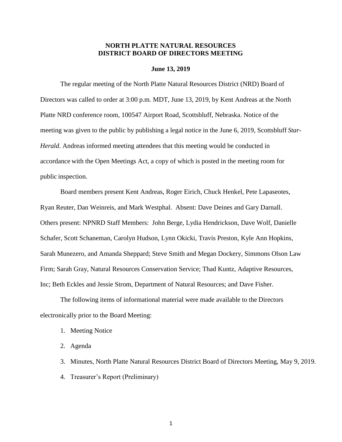#### **NORTH PLATTE NATURAL RESOURCES DISTRICT BOARD OF DIRECTORS MEETING**

#### **June 13, 2019**

The regular meeting of the North Platte Natural Resources District (NRD) Board of Directors was called to order at 3:00 p.m. MDT, June 13, 2019, by Kent Andreas at the North Platte NRD conference room, 100547 Airport Road, Scottsbluff, Nebraska. Notice of the meeting was given to the public by publishing a legal notice in the June 6, 2019, Scottsbluff *Star-Herald*. Andreas informed meeting attendees that this meeting would be conducted in accordance with the Open Meetings Act, a copy of which is posted in the meeting room for public inspection.

Board members present Kent Andreas, Roger Eirich, Chuck Henkel, Pete Lapaseotes, Ryan Reuter, Dan Weinreis, and Mark Westphal. Absent: Dave Deines and Gary Darnall. Others present: NPNRD Staff Members: John Berge, Lydia Hendrickson, Dave Wolf, Danielle Schafer, Scott Schaneman, Carolyn Hudson, Lynn Okicki, Travis Preston, Kyle Ann Hopkins, Sarah Munezero, and Amanda Sheppard; Steve Smith and Megan Dockery, Simmons Olson Law Firm; Sarah Gray, Natural Resources Conservation Service; Thad Kuntz, Adaptive Resources, Inc; Beth Eckles and Jessie Strom, Department of Natural Resources; and Dave Fisher.

The following items of informational material were made available to the Directors electronically prior to the Board Meeting:

- 1. Meeting Notice
- 2. Agenda
- 3. Minutes, North Platte Natural Resources District Board of Directors Meeting, May 9, 2019.
- 4. Treasurer's Report (Preliminary)

1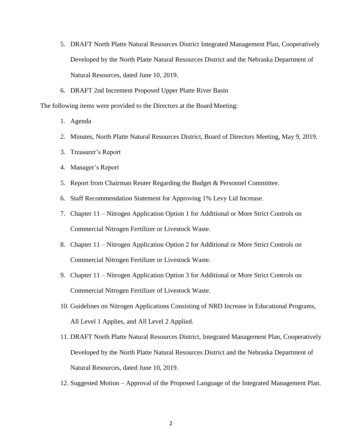- 5. DRAFT North Platte Natural Resources District Integrated Management Plan, Cooperatively Developed by the North Platte Natural Resources District and the Nebraska Department of Natural Resources, dated June 10, 2019.
- 6. DRAFT 2nd Increment Proposed Upper Platte River Basin

The following items were provided to the Directors at the Board Meeting:

- 1. Agenda
- 2. Minutes, North Platte Natural Resources District, Board of Directors Meeting, May 9, 2019.
- 3. Treasurer's Report
- 4. Manager's Report
- 5. Report from Chairman Reuter Regarding the Budget & Personnel Committee.
- 6. Staff Recommendation Statement for Approving 1% Levy Lid Increase.
- 7. Chapter 11 Nitrogen Application Option 1 for Additional or More Strict Controls on Commercial Nitrogen Fertilizer or Livestock Waste.
- 8. Chapter 11 Nitrogen Application Option 2 for Additional or More Strict Controls on Commercial Nitrogen Fertilizer or Livestock Waste.
- 9. Chapter 11 Nitrogen Application Option 3 for Additional or More Strict Controls on Commercial Nitrogen Fertilizer of Livestock Waste.
- 10. Guidelines on Nitrogen Applications Consisting of NRD Increase in Educational Programs, All Level 1 Applies, and All Level 2 Applied.
- 11. DRAFT North Platte Natural Resources District, Integrated Management Plan, Cooperatively Developed by the North Platte Natural Resources District and the Nebraska Department of Natural Resources, dated June 10, 2019.
- 12. Suggested Motion Approval of the Proposed Language of the Integrated Management Plan.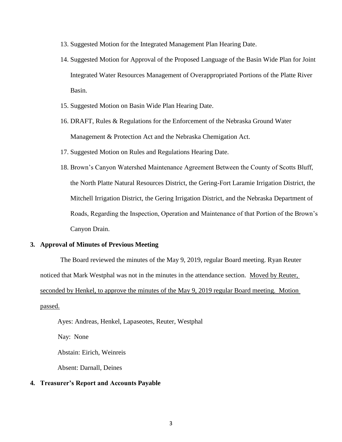- 13. Suggested Motion for the Integrated Management Plan Hearing Date.
- 14. Suggested Motion for Approval of the Proposed Language of the Basin Wide Plan for Joint Integrated Water Resources Management of Overappropriated Portions of the Platte River Basin.
- 15. Suggested Motion on Basin Wide Plan Hearing Date.
- 16. DRAFT, Rules & Regulations for the Enforcement of the Nebraska Ground Water Management & Protection Act and the Nebraska Chemigation Act.
- 17. Suggested Motion on Rules and Regulations Hearing Date.
- 18. Brown's Canyon Watershed Maintenance Agreement Between the County of Scotts Bluff, the North Platte Natural Resources District, the Gering-Fort Laramie Irrigation District, the Mitchell Irrigation District, the Gering Irrigation District, and the Nebraska Department of Roads, Regarding the Inspection, Operation and Maintenance of that Portion of the Brown's Canyon Drain.

#### **3. Approval of Minutes of Previous Meeting**

The Board reviewed the minutes of the May 9, 2019, regular Board meeting. Ryan Reuter noticed that Mark Westphal was not in the minutes in the attendance section. Moved by Reuter, seconded by Henkel, to approve the minutes of the May 9, 2019 regular Board meeting. Motion passed.

Ayes: Andreas, Henkel, Lapaseotes, Reuter, Westphal

Nay: None

Abstain: Eirich, Weinreis

Absent: Darnall, Deines

#### **4. Treasurer's Report and Accounts Payable**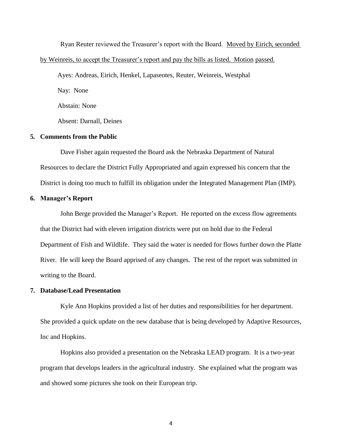Ryan Reuter reviewed the Treasurer's report with the Board. Moved by Eirich, seconded by Weinreis, to accept the Treasurer's report and pay the bills as listed. Motion passed.

Ayes: Andreas, Eirich, Henkel, Lapaseotes, Reuter, Weinreis, Westphal

Nay: None

Abstain: None

Absent: Darnall, Deines

#### **5. Comments from the Public**

Dave Fisher again requested the Board ask the Nebraska Department of Natural Resources to declare the District Fully Appropriated and again expressed his concern that the District is doing too much to fulfill its obligation under the Integrated Management Plan (IMP).

#### **6. Manager's Report**

John Berge provided the Manager's Report. He reported on the excess flow agreements that the District had with eleven irrigation districts were put on hold due to the Federal Department of Fish and Wildlife. They said the water is needed for flows further down the Platte River. He will keep the Board apprised of any changes. The rest of the report was submitted in writing to the Board.

#### **7. Database/Lead Presentation**

Kyle Ann Hopkins provided a list of her duties and responsibilities for her department. She provided a quick update on the new database that is being developed by Adaptive Resources, Inc and Hopkins.

Hopkins also provided a presentation on the Nebraska LEAD program. It is a two-year program that develops leaders in the agricultural industry. She explained what the program was and showed some pictures she took on their European trip.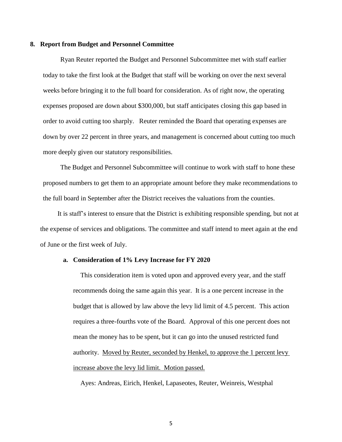#### **8. Report from Budget and Personnel Committee**

Ryan Reuter reported the Budget and Personnel Subcommittee met with staff earlier today to take the first look at the Budget that staff will be working on over the next several weeks before bringing it to the full board for consideration. As of right now, the operating expenses proposed are down about \$300,000, but staff anticipates closing this gap based in order to avoid cutting too sharply. Reuter reminded the Board that operating expenses are down by over 22 percent in three years, and management is concerned about cutting too much more deeply given our statutory responsibilities.

The Budget and Personnel Subcommittee will continue to work with staff to hone these proposed numbers to get them to an appropriate amount before they make recommendations to the full board in September after the District receives the valuations from the counties.

It is staff's interest to ensure that the District is exhibiting responsible spending, but not at the expense of services and obligations. The committee and staff intend to meet again at the end of June or the first week of July.

#### **a. Consideration of 1% Levy Increase for FY 2020**

This consideration item is voted upon and approved every year, and the staff recommends doing the same again this year. It is a one percent increase in the budget that is allowed by law above the levy lid limit of 4.5 percent. This action requires a three-fourths vote of the Board. Approval of this one percent does not mean the money has to be spent, but it can go into the unused restricted fund authority. Moved by Reuter, seconded by Henkel, to approve the 1 percent levy increase above the levy lid limit. Motion passed.

Ayes: Andreas, Eirich, Henkel, Lapaseotes, Reuter, Weinreis, Westphal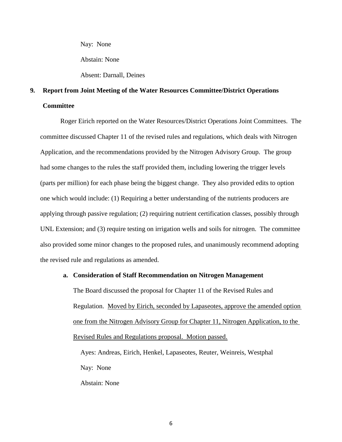Nay: None

Abstain: None

Absent: Darnall, Deines

## **9. Report from Joint Meeting of the Water Resources Committee/District Operations Committee**

Roger Eirich reported on the Water Resources/District Operations Joint Committees. The committee discussed Chapter 11 of the revised rules and regulations, which deals with Nitrogen Application, and the recommendations provided by the Nitrogen Advisory Group. The group had some changes to the rules the staff provided them, including lowering the trigger levels (parts per million) for each phase being the biggest change. They also provided edits to option one which would include: (1) Requiring a better understanding of the nutrients producers are applying through passive regulation; (2) requiring nutrient certification classes, possibly through UNL Extension; and (3) require testing on irrigation wells and soils for nitrogen. The committee also provided some minor changes to the proposed rules, and unanimously recommend adopting the revised rule and regulations as amended.

#### **a. Consideration of Staff Recommendation on Nitrogen Management**

The Board discussed the proposal for Chapter 11 of the Revised Rules and Regulation. Moved by Eirich, seconded by Lapaseotes, approve the amended option one from the Nitrogen Advisory Group for Chapter 11, Nitrogen Application, to the Revised Rules and Regulations proposal. Motion passed.

Ayes: Andreas, Eirich, Henkel, Lapaseotes, Reuter, Weinreis, Westphal Nay: None Abstain: None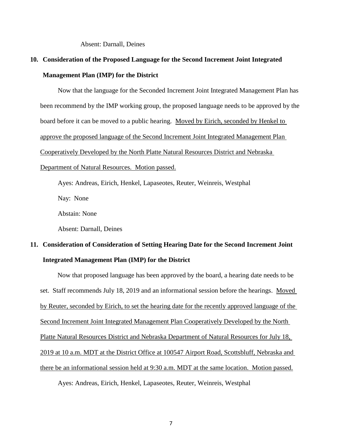Absent: Darnall, Deines

## **10. Consideration of the Proposed Language for the Second Increment Joint Integrated Management Plan (IMP) for the District**

Now that the language for the Seconded Increment Joint Integrated Management Plan has been recommend by the IMP working group, the proposed language needs to be approved by the board before it can be moved to a public hearing. Moved by Eirich, seconded by Henkel to approve the proposed language of the Second Increment Joint Integrated Management Plan Cooperatively Developed by the North Platte Natural Resources District and Nebraska Department of Natural Resources. Motion passed.

Ayes: Andreas, Eirich, Henkel, Lapaseotes, Reuter, Weinreis, Westphal

Nay: None

Abstain: None

Absent: Darnall, Deines

## **11. Consideration of Consideration of Setting Hearing Date for the Second Increment Joint Integrated Management Plan (IMP) for the District**

Now that proposed language has been approved by the board, a hearing date needs to be set. Staff recommends July 18, 2019 and an informational session before the hearings. Moved by Reuter, seconded by Eirich, to set the hearing date for the recently approved language of the Second Increment Joint Integrated Management Plan Cooperatively Developed by the North Platte Natural Resources District and Nebraska Department of Natural Resources for July 18, 2019 at 10 a.m. MDT at the District Office at 100547 Airport Road, Scottsbluff, Nebraska and there be an informational session held at 9:30 a.m. MDT at the same location. Motion passed.

Ayes: Andreas, Eirich, Henkel, Lapaseotes, Reuter, Weinreis, Westphal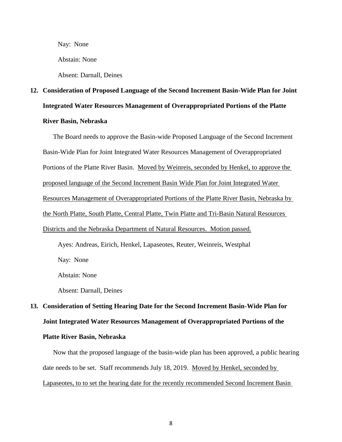Nay: None

Abstain: None

Absent: Darnall, Deines

# **12. Consideration of Proposed Language of the Second Increment Basin-Wide Plan for Joint Integrated Water Resources Management of Overappropriated Portions of the Platte River Basin, Nebraska**

# The Board needs to approve the Basin-wide Proposed Language of the Second Increment Basin-Wide Plan for Joint Integrated Water Resources Management of Overappropriated Portions of the Platte River Basin. Moved by Weinreis, seconded by Henkel, to approve the proposed language of the Second Increment Basin Wide Plan for Joint Integrated Water Resources Management of Overappropriated Portions of the Platte River Basin, Nebraska by the North Platte, South Platte, Central Platte, Twin Platte and Tri-Basin Natural Resources Districts and the Nebraska Department of Natural Resources. Motion passed. Ayes: Andreas, Eirich, Henkel, Lapaseotes, Reuter, Weinreis, Westphal Nay: None Abstain: None

Absent: Darnall, Deines

# **13. Consideration of Setting Hearing Date for the Second Increment Basin-Wide Plan for Joint Integrated Water Resources Management of Overappropriated Portions of the Platte River Basin, Nebraska**

Now that the proposed language of the basin-wide plan has been approved, a public hearing date needs to be set. Staff recommends July 18, 2019. Moved by Henkel, seconded by Lapaseotes, to to set the hearing date for the recently recommended Second Increment Basin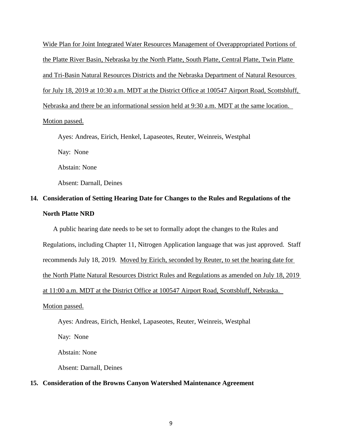Wide Plan for Joint Integrated Water Resources Management of Overappropriated Portions of the Platte River Basin, Nebraska by the North Platte, South Platte, Central Platte, Twin Platte and Tri-Basin Natural Resources Districts and the Nebraska Department of Natural Resources for July 18, 2019 at 10:30 a.m. MDT at the District Office at 100547 Airport Road, Scottsbluff, Nebraska and there be an informational session held at 9:30 a.m. MDT at the same location. Motion passed.

Ayes: Andreas, Eirich, Henkel, Lapaseotes, Reuter, Weinreis, Westphal Nay: None Abstain: None Absent: Darnall, Deines

### **14. Consideration of Setting Hearing Date for Changes to the Rules and Regulations of the North Platte NRD**

A public hearing date needs to be set to formally adopt the changes to the Rules and Regulations, including Chapter 11, Nitrogen Application language that was just approved. Staff recommends July 18, 2019. Moved by Eirich, seconded by Reuter, to set the hearing date for the North Platte Natural Resources District Rules and Regulations as amended on July 18, 2019 at 11:00 a.m. MDT at the District Office at 100547 Airport Road, Scottsbluff, Nebraska. Motion passed.

Ayes: Andreas, Eirich, Henkel, Lapaseotes, Reuter, Weinreis, Westphal

Nay: None

Abstain: None

Absent: Darnall, Deines

#### **15. Consideration of the Browns Canyon Watershed Maintenance Agreement**